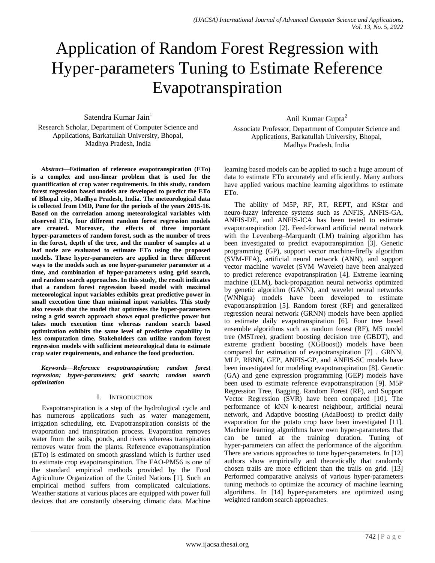# Application of Random Forest Regression with Hyper-parameters Tuning to Estimate Reference Evapotranspiration

Satendra Kumar Jain<sup>1</sup> Research Scholar, Department of Computer Science and Applications, Barkatullah University, Bhopal, Madhya Pradesh, India

*Abstract***—Estimation of reference evapotranspiration (ETo) is a complex and non-linear problem that is used for the quantification of crop water requirements. In this study, random forest regression based models are developed to predict the ETo of Bhopal city, Madhya Pradesh, India. The meteorological data is collected from IMD, Pune for the periods of the years 2015-16. Based on the correlation among meteorological variables with observed ETo, four different random forest regression models are created. Moreover, the effects of three important hyper-parameters of random forest, such as the number of trees in the forest, depth of the tree, and the number of samples at a leaf node are evaluated to estimate ETo using the proposed models. These hyper-parameters are applied in three different ways to the models such as one hyper-parameter parameter at a time, and combination of hyper-parameters using grid search, and random search approaches. In this study, the result indicates that a random forest regression based model with maximal meteorological input variables exhibits great predictive power in small execution time than minimal input variables. This study also reveals that the model that optimises the hyper-parameters using a grid search approach shows equal predictive power but takes much execution time whereas random search based optimization exhibits the same level of predictive capability in less computation time. Stakeholders can utilize random forest regression models with sufficient meteorological data to estimate crop water requirements, and enhance the food production.**

*Keywords*—*Reference evapotranspiration; random forest regression; hyper-parameters; grid search; random search optimization*

## I. INTRODUCTION

Evapotranspiration is a step of the hydrological cycle and has numerous applications such as water management, irrigation scheduling, etc. Evapotranspiration consists of the evaporation and transpiration process. Evaporation removes water from the soils, ponds, and rivers whereas transpiration removes water from the plants. Reference evapotranspiration (ETo) is estimated on smooth grassland which is further used to estimate crop evapotranspiration. The FAO-PM56 is one of the standard empirical methods provided by the Food Agriculture Organization of the United Nations [1]. Such an empirical method suffers from complicated calculations. Weather stations at various places are equipped with power full devices that are constantly observing climatic data. Machine

Anil Kumar Gupta<sup>2</sup> Associate Professor, Department of Computer Science and Applications, Barkatullah University, Bhopal, Madhya Pradesh, India

learning based models can be applied to such a huge amount of data to estimate ETo accurately and efficiently. Many authors have applied various machine learning algorithms to estimate ETo.

The ability of M5P, RF, RT, REPT, and KStar and neuro-fuzzy inference systems such as ANFIS, ANFIS-GA, ANFIS-DE, and ANFIS-ICA has been tested to estimate evapotranspiration [2]. Feed-forward artificial neural network with the Levenberg–Marquardt (LM) training algorithm has been investigated to predict evapotranspiration [3]. Genetic programming (GP), support vector machine-firefly algorithm (SVM-FFA), artificial neural network (ANN), and support vector machine–wavelet (SVM–Wavelet) have been analyzed to predict reference evapotranspiration [4]. Extreme learning machine (ELM), back-propagation neural networks optimized by genetic algorithm (GANN), and wavelet neural networks (WNNgra) models have been developed to estimate evapotranspiration [5]. Random forest (RF) and generalized regression neural network (GRNN) models have been applied to estimate daily evapotranspiration [6]. Four tree based ensemble algorithms such as random forest (RF), M5 model tree (M5Tree), gradient boosting decision tree (GBDT), and extreme gradient boosting (XGBoost)) models have been compared for estimation of evapotranspiration [7] . GRNN, MLP, RBNN, GEP, ANFIS-GP, and ANFIS-SC models have been investigated for modeling evapotranspiration [8]. Genetic (GA) and gene expression programming (GEP) models have been used to estimate reference evapotranspiration [9]. M5P Regression Tree, Bagging, Random Forest (RF), and Support Vector Regression (SVR) have been compared [10]. The performance of kNN k-nearest neighbour, artificial neural network, and Adaptive boosting (AdaBoost) to predict daily evaporation for the potato crop have been investigated [11]. Machine learning algorithms have own hyper-parameters that can be tuned at the training duration. Tuning of hyper-parameters can affect the performance of the algorithm. There are various approaches to tune hyper-parameters. In [12] authors show empirically and theoretically that randomly chosen trails are more efficient than the trails on grid. [13] Performed comparative analysis of various hyper-parameters tuning methods to optimize the accuracy of machine learning algorithms. In [14] hyper-parameters are optimized using weighted random search approaches.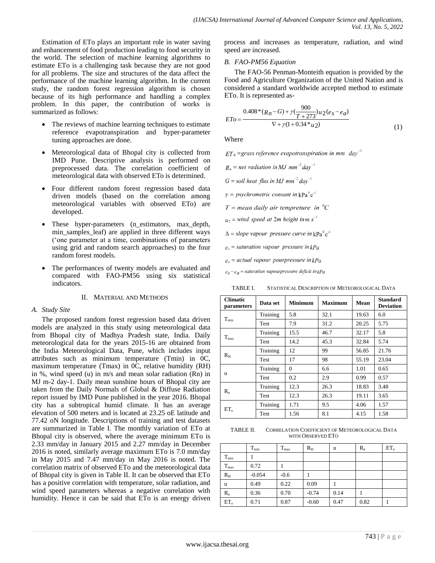Estimation of ETo plays an important role in water saving and enhancement of food production leading to food security in the world. The selection of machine learning algorithms to estimate ETo is a challenging task because they are not good for all problems. The size and structures of the data affect the performance of the machine learning algorithm. In the current study, the random forest regression algorithm is chosen because of its high performance and handling a complex problem. In this paper, the contribution of works is summarized as follows:

- The reviews of machine learning techniques to estimate reference evapotranspiration and hyper-parameter tuning approaches are done.
- Meteorological data of Bhopal city is collected from IMD Pune. Descriptive analysis is performed on preprocessed data. The correlation coefficient of meteorological data with observed ETo is determined.
- Four different random forest regression based data driven models (based on the correlation among meteorological variables with observed ETo) are developed.
- These hyper-parameters (n\_estimators, max\_depth, min\_samples\_leaf) are applied in three different ways ('one parameter at a time, combinations of parameters using grid and random search approaches) to the four random forest models.
- The performances of twenty models are evaluated and compared with FAO-PM56 using six statistical indicators.

#### II. MATERIAL AND METHODS

#### *A. Study Site*

The proposed random forest regression based data driven models are analyzed in this study using meteorological data from Bhopal city of Madhya Pradesh state, India. Daily meteorological data for the years 2015-16 are obtained from the India Meteorological Data, Pune, which includes input attributes such as minimum temperature (Tmin) in 0C, maximum temperature (Tmax) in 0C, relative humidity (RH) in %, wind speed (u) in m/s and mean solar radiation (Rn) in MJ m-2 day-1. Daily mean sunshine hours of Bhopal city are taken from the Daily Normals of Global & Diffuse Radiation report issued by IMD Pune published in the year 2016. Bhopal city has a subtropical humid climate. It has an average elevation of 500 meters and is located at 23.25 oE latitude and 77.42 oN longitude. Descriptions of training and test datasets are summarized in Table I. The monthly variation of ETo at Bhopal city is observed, where the average minimum ETo is 2.33 mm/day in January 2015 and 2.27 mm/day in December 2016 is noted, similarly average maximum ETo is 7.0 mm/day in May 2015 and 7.47 mm/day in May 2016 is noted. The correlation matrix of observed ETo and the meteorological data of Bhopal city is given in Table II. It can be observed that ETo has a positive correlation with temperature, solar radiation, and wind speed parameters whereas a negative correlation with humidity. Hence it can be said that ETo is an energy driven

process and increases as temperature, radiation, and wind speed are increased.

## *B. FAO-PM56 Equation*

The FAO-56 Penman-Monteith equation is provided by the Food and Agriculture Organization of the United Nation and is considered a standard worldwide accepted method to estimate ETo. It is represented as-

$$
ETo = \frac{0.408*(R_n - G) + \gamma(\frac{900}{T + 273})u_2(e_s - e_a)}{\nabla + \gamma(1 + 0.34 * u_2)}
$$
(1)

Where

 $ET_0$  =grass reference evapotranspiration in mm day<sup>-1</sup>

 $R_n$  = net radiation in MJ mm<sup>-2</sup> day<sup>-1</sup>

$$
G = soil heat
$$
 flux in MJ mm<sup>-2</sup> day<sup>-1</sup>

 $\gamma = p<sub>sy</sub>$ chrometric consant in kPa<sup>0</sup>c<sup>-1</sup>

 $T =$  mean daily air tempreture in  ${}^{0}C$ 

- $u_2$  = wind speed at 2m height in m s<sup>-1</sup>
- $\Delta = slope$  vapour pressure curve in  $kPa^{0}c^{-1}$
- $e_s$  = saturation vapour pressure in kPa

 $e_a$  = actual vapour pourpressure in  $kPa$ 

 $e_S - e_a$  = saturation vapourpressure deficit in kPa

TABLE I. STATISTICAL DESCRIPTION OF METEOROLOGICAL DATA

| <b>Climatic</b><br>parameters | Data set | <b>Minimum</b> | <b>Maximum</b> | Mean  | <b>Standard</b><br><b>Deviation</b> |
|-------------------------------|----------|----------------|----------------|-------|-------------------------------------|
|                               | Training | 5.8            | 32.1           | 19.63 | 6.0                                 |
| $T_{min}$                     | Test     | 7.9            | 31.2           | 20.25 | 5.75                                |
|                               | Training | 15.5           | 46.7           | 32.17 | 5.8                                 |
| $T_{max}$                     | Test     | 14.2           | 45.3           | 32.84 | 5.74                                |
|                               | Training | 12             | 99             | 56.85 | 21.76                               |
| $R_{\rm H}$                   | Test     | 17             | 98             | 55.19 | 23.04                               |
| u                             | Training | $\Omega$       | 6.6            | 1.01  | 0.65                                |
|                               | Test     | 0.2            | 2.9            | 0.99  | 0.57                                |
| $R_{n}$                       | Training | 12.3           | 26.3           | 18.83 | 3.48                                |
|                               | Test     | 12.3           | 26.3           | 19.11 | 3.65                                |
| ET <sub>o</sub>               | Training | 1.71           | 9.5            | 4.06  | 1.57                                |
|                               | Test     | 1.56           | 8.1            | 4.15  | 1.58                                |

TABLE II. CORRELATION COEFFICIENT OF METEOROLOGICAL DATA WITH OBSERVED ETO

|               | $T_{min}$ | $T_{max}$ | $R_{\rm H}$ | u    | $R_{n}$ | $ET_{0}$ |
|---------------|-----------|-----------|-------------|------|---------|----------|
| $T_{min}$     |           |           |             |      |         |          |
| $T_{\rm max}$ | 0.72      |           |             |      |         |          |
| $R_{\rm H}$   | $-0.054$  | $-0.6$    |             |      |         |          |
| u             | 0.49      | 0.22      | 0.09        |      |         |          |
| $R_{n}$       | 0.36      | 0.70      | $-0.74$     | 0.14 |         |          |
| $ET_{\alpha}$ | 0.71      | 0.87      | $-0.60$     | 0.47 | 0.82    |          |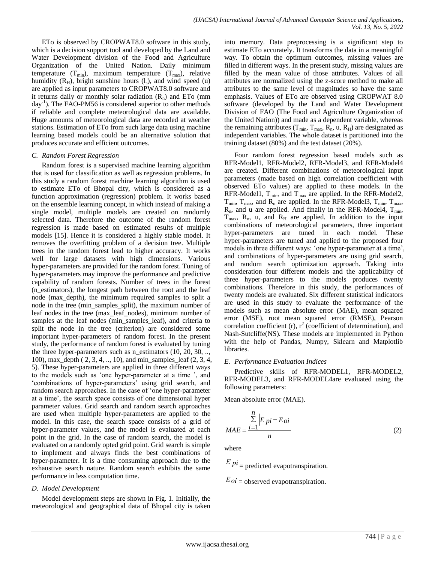ETo is observed by CROPWAT8.0 software in this study, which is a decision support tool and developed by the Land and Water Development division of the Food and Agriculture Organization of the United Nation. Daily minimum temperature  $(T_{min})$ , maximum temperature  $(T_{max})$ , relative humidity  $(R<sub>H</sub>)$ , bright sunshine hours  $(l<sub>s</sub>)$ , and wind speed  $(u)$ are applied as input parameters to CROPWAT8.0 software and it returns daily or monthly solar radiation  $(R_n)$  and ETo (mm day-1 ). The FAO-PM56 is considered superior to other methods if reliable and complete meteorological data are available. Huge amounts of meteorological data are recorded at weather stations. Estimation of ETo from such large data using machine learning based models could be an alternative solution that produces accurate and efficient outcomes.

### *C. Random Forest Regression*

Random forest is a supervised machine learning algorithm that is used for classification as well as regression problems. In this study a random forest machine learning algorithm is used to estimate ETo of Bhopal city, which is considered as a function approximation (regression) problem. It works based on the ensemble learning concept, in which instead of making a single model, multiple models are created on randomly selected data. Therefore the outcome of the random forest regression is made based on estimated results of multiple models [15]. Hence it is considered a highly stable model. It removes the overfitting problem of a decision tree. Multiple trees in the random forest lead to higher accuracy. It works well for large datasets with high dimensions. Various hyper-parameters are provided for the random forest. Tuning of hyper-parameters may improve the performance and predictive capability of random forests. Number of trees in the forest (n\_estimators), the longest path between the root and the leaf node (max\_depth), the minimum required samples to split a node in the tree (min\_samples\_split), the maximum number of leaf nodes in the tree (max\_leaf\_nodes), minimum number of samples at the leaf nodes (min\_samples\_leaf), and criteria to split the node in the tree (criterion) are considered some important hyper-parameters of random forest. In the present study, the performance of random forest is evaluated by tuning the three hyper-parameters such as n\_estimators (10, 20, 30, .., 100), max\_depth ( 2, 3, 4, .., 10), and min\_samples\_leaf (2, 3, 4, 5). These hyper-parameters are applied in three different ways to the models such as 'one hyper-parameter at a time ', and ‗combinations of hyper-parameters' using grid search, and random search approaches. In the case of 'one hyper-parameter at a time', the search space consists of one dimensional hyper parameter values. Grid search and random search approaches are used when multiple hyper-parameters are applied to the model. In this case, the search space consists of a grid of hyper-parameter values, and the model is evaluated at each point in the grid. In the case of random search, the model is evaluated on a randomly opted grid point. Grid search is simple to implement and always finds the best combinations of hyper-parameter. It is a time consuming approach due to the exhaustive search nature. Random search exhibits the same performance in less computation time.

## *D. Model Development*

Model development steps are shown in Fig. 1. Initially, the meteorological and geographical data of Bhopal city is taken into memory. Data preprocessing is a significant step to estimate ETo accurately. It transforms the data in a meaningful way. To obtain the optimum outcomes, missing values are filled in different ways. In the present study, missing values are filled by the mean value of those attributes. Values of all attributes are normalized using the z-score method to make all attributes to the same level of magnitudes so have the same emphasis. Values of ETo are observed using CROPWAT 8.0 software (developed by the Land and Water Development Division of FAO (The Food and Agriculture Organization of the United Nation)) and made as a dependent variable, whereas the remaining attributes ( $T_{min}$ ,  $T_{max}$ ,  $R_n$ ,  $u$ ,  $R_H$ ) are designated as independent variables. The whole dataset is partitioned into the training dataset (80%) and the test dataset (20%).

Four random forest regression based models such as RFR-Model1, RFR-Model2, RFR-Model3, and RFR-Model4 are created. Different combinations of meteorological input parameters (made based on high correlation coefficient with observed ETo values) are applied to these models. In the RFR-Model1,  $T_{min}$ , and  $T_{max}$  are applied. In the RFR-Model2,  $T_{min}$ ,  $T_{max}$ , and  $R_n$  are applied. In the RFR-Model3,  $T_{min}$ ,  $T_{max}$ ,  $R_n$ , and u are applied. And finally in the RFR-Model4,  $T_{min}$ ,  $T_{\text{max}}$ , R<sub>n</sub>, u, and R<sub>H</sub> are applied. In addition to the input combinations of meteorological parameters, three important hyper-parameters are tuned in each model. These hyper-parameters are tuned and applied to the proposed four models in three different ways: 'one hyper-parameter at a time', and combinations of hyper-parameters are using grid search, and random search optimization approach. Taking into consideration four different models and the applicability of three hyper-parameters to the models produces twenty combinations. Therefore in this study, the performances of twenty models are evaluated. Six different statistical indicators are used in this study to evaluate the performance of the models such as mean absolute error (MAE), mean squared error (MSE), root mean squared error (RMSE), Pearson correlation coefficient (r),  $r^2$  (coefficient of determination), and Nash-Sutcliffe(NS). These models are implemented in Python with the help of Pandas, Numpy, Sklearn and Matplotlib libraries.

## *E. Performance Evaluation Indices*

Predictive skills of RFR-MODEL1, RFR-MODEL2, RFR-MODEL3, and RFR-MODEL4are evaluated using the following parameters:

Mean absolute error (MAE).

$$
MAE = \frac{\sum_{i=1}^{n} \left| E_{pi} - E_{oi} \right|}{n}
$$
 (2)

where

 $Epi$  = predicted evapotranspiration.

 $Eoi$  = observed evapotranspiration.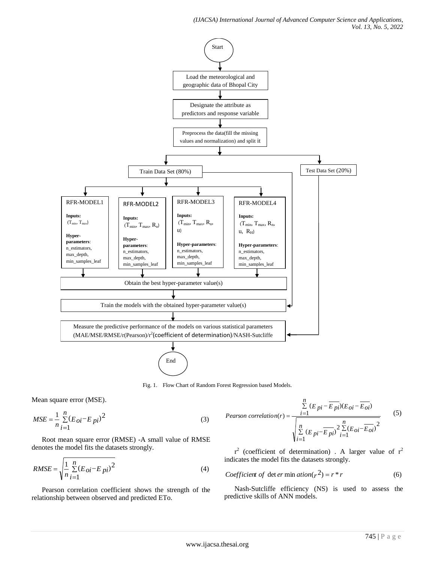*(IJACSA) International Journal of Advanced Computer Science and Applications, Vol. 13, No. 5, 2022*



Fig. 1. Flow Chart of Random Forest Regression based Models.

Mean square error (MSE).

$$
MSE = \frac{1}{n} \sum_{i=1}^{n} (E_{oi} - E_{pi})^2
$$
 (3)

Root mean square error (RMSE) -A small value of RMSE denotes the model fits the datasets strongly.

$$
RMSE = \sqrt{\frac{1}{n} \sum_{i=1}^{n} (E_{oi} - E_{pi})^2}
$$
 (4)

Pearson correlation coefficient shows the strength of the relationship between observed and predicted ETo.

Pearson correlation(r) = 
$$
\frac{\sum_{i=1}^{n} (E_{pi} - \overline{E_{pi}})(E_{oi} - \overline{E_{oi}})}{\sqrt{\sum_{i=1}^{n} (E_{pi} - \overline{E_{pi}})^{2} \sum_{i=1}^{n} (E_{oi} - \overline{E_{oi}})^{2}}}
$$
(5)

 $r^2$  (coefficient of determination). A larger value of  $r^2$ indicates the model fits the datasets strongly.

$$
Coefficient of det er min ation(r2) = r*r
$$
\n(6)

Nash-Sutcliffe efficiency (NS) is used to assess the predictive skills of ANN models.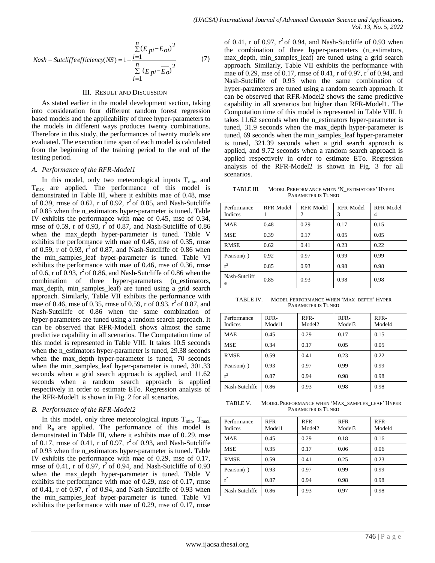$$
Nash - \text{Sutcliffe efficiency}(NS) = 1 - \frac{\sum_{i=1}^{n} (E_{pi} - E_{oi})^2}{\sum_{i=1}^{n} (E_{pi} - \overline{E_{o}})^2}
$$
(7)

#### III. RESULT AND DISCUSSION

As stated earlier in the model development section, taking into consideration four different random forest regression based models and the applicability of three hyper-parameters to the models in different ways produces twenty combinations. Therefore in this study, the performances of twenty models are evaluated. The execution time span of each model is calculated from the beginning of the training period to the end of the testing period.

#### *A. Performance of the RFR-Model1*

 $\Sigma$  ( $E_{pi}-E_{o}$ )<sup>-</sup> mas of O<br>  $\sim$  Mash-Sut-<br>
DISCUSSION Nash-Sut-<br>
image of Nash-Sut-<br>
image of Nash-Sut-<br>
image of Nash-Sut-<br>
image and be respect there hyper-parameters to taking an<br>
expection of the cal of scaling an In this model, only two meteorological inputs  $T_{min}$ , and  $T_{\text{max}}$  are applied. The performance of this model is demonstrated in Table III, where it exhibits mae of 0.48, mse of 0.39, rmse of 0.62, r of 0.92,  $r^2$  of 0.85, and Nash-Sutcliffe of 0.85 when the n\_estimators hyper-parameter is tuned. Table IV exhibits the performance with mae of 0.45, mse of 0.34, rmse of 0.59, r of 0.93,  $r^2$  of 0.87, and Nash-Sutcliffe of 0.86 when the max\_depth hyper-parameter is tuned. Table V exhibits the performance with mae of 0.45, mse of 0.35, rmse of 0.59, r of 0.93,  $r^2$  of 0.87, and Nash-Sutcliffe of 0.86 when the min\_samples\_leaf hyper-parameter is tuned. Table VI exhibits the performance with mae of 0.46, mse of 0.36, rmse of 0.6, r of 0.93,  $r^2$  of 0.86, and Nash-Sutcliffe of 0.86 when the combination of three hyper-parameters (n\_estimators, max\_depth, min\_samples\_leaf) are tuned using a grid search approach. Similarly, Table VII exhibits the performance with mae of 0.46, mse of 0.35, rmse of 0.59, r of 0.93,  $r^2$  of 0.87, and Nash-Sutcliffe of 0.86 when the same combination of hyper-parameters are tuned using a random search approach. It can be observed that RFR-Model1 shows almost the same predictive capability in all scenarios. The Computation time of this model is represented in Table VIII. It takes 10.5 seconds when the n\_estimators hyper-parameter is tuned, 29.38 seconds when the max\_depth hyper-parameter is tuned, 70 seconds when the min\_samples\_leaf hyper-parameter is tuned, 301.33 seconds when a grid search approach is applied, and 11.62 seconds when a random search approach is applied respectively in order to estimate ETo. Regression analysis of the RFR-Model1 is shown in Fig. 2 for all scenarios.

## *B. Performance of the RFR-Model2*

In this model, only three meteorological inputs  $T_{\text{min}}$ ,  $T_{\text{max}}$ , and  $R_n$  are applied. The performance of this model is demonstrated in Table III, where it exhibits mae of 0..29, mse of 0.17, rmse of 0.41, r of 0.97,  $r^2$  of 0.93, and Nash-Sutcliffe of 0.93 when the n\_estimators hyper-parameter is tuned. Table IV exhibits the performance with mae of 0.29, mse of 0.17, rmse of 0.41, r of 0.97,  $r^2$  of 0.94, and Nash-Sutcliffe of 0.93 when the max\_depth hyper-parameter is tuned. Table V exhibits the performance with mae of 0.29, mse of 0.17, rmse of 0.41, r of 0.97,  $r^2$  of 0.94, and Nash-Sutcliffe of 0.93 when the min samples leaf hyper-parameter is tuned. Table VI exhibits the performance with mae of 0.29, mse of 0.17, rmse of 0.41, r of 0.97,  $r^2$  of 0.94, and Nash-Sutcliffe of 0.93 when the combination of three hyper-parameters (n\_estimators, max\_depth, min\_samples\_leaf) are tuned using a grid search approach. Similarly, Table VII exhibits the performance with mae of 0.29, mse of 0.17, rmse of 0.41, r of 0.97,  $r^2$  of 0.94, and Nash-Sutcliffe of 0.93 when the same combination of hyper-parameters are tuned using a random search approach. It can be observed that RFR-Model2 shows the same predictive capability in all scenarios but higher than RFR-Model1. The Computation time of this model is represented in Table VIII. It takes 11.62 seconds when the n\_estimators hyper-parameter is tuned, 31.9 seconds when the max\_depth hyper-parameter is tuned, 69 seconds when the min\_samples\_leaf hyper-parameter is tuned, 321.39 seconds when a grid search approach is applied, and 9.72 seconds when a random search approach is applied respectively in order to estimate ETo. Regression analysis of the RFR-Model2 is shown in Fig. 3 for all scenarios.

TABLE III. MODEL PERFORMANCE WHEN 'N\_ESTIMATORS' HYPER PARAMETER IS TUNED

| Performance<br><b>Indices</b> | RFR-Model | RFR-Model<br>2 | RFR-Model<br>3 | RFR-Model<br>4 |
|-------------------------------|-----------|----------------|----------------|----------------|
| <b>MAE</b>                    | 0.48      | 0.29           | 0.17           | 0.15           |
| <b>MSE</b>                    | 0.39      | 0.17           | 0.05           | 0.05           |
| <b>RMSE</b>                   | 0.62      | 0.41           | 0.23           | 0.22           |
| Pearson $(r)$                 | 0.92      | 0.97           | 0.99           | 0.99           |
| $r^2$                         | 0.85      | 0.93           | 0.98           | 0.98           |
| Nash-Sutcliff<br>e            | 0.85      | 0.93           | 0.98           | 0.98           |

TABLE IV. MODEL PERFORMANCE WHEN 'MAX DEPTH' HYPER PARAMETER IS TUNED

| Performance<br><b>Indices</b> | RFR-<br>Model1 | RFR-<br>Model <sub>2</sub> | RFR-<br>Model3 | RFR-<br>Model4 |
|-------------------------------|----------------|----------------------------|----------------|----------------|
| <b>MAE</b>                    | 0.45           | 0.29                       | 0.17           | 0.15           |
| <b>MSE</b>                    | 0.34           | 0.17                       | 0.05           | 0.05           |
| <b>RMSE</b>                   | 0.59           | 0.41                       | 0.23           | 0.22           |
| Pearson $(r)$                 | 0.93           | 0.97                       | 0.99           | 0.99           |
| $r^2$                         | 0.87           | 0.94                       | 0.98           | 0.98           |
| Nash-Sutcliffe                | 0.86           | 0.93                       | 0.98           | 0.98           |

TABLE V. MODEL PERFORMANCE WHEN 'MAX\_SAMPLES\_LEAF' HYPER PARAMETER IS TUNED

| Performance<br>Indices | RFR-<br>Model1 | RFR-<br>Model <sub>2</sub> | RFR-<br>Model3 | RFR-<br>Model4 |
|------------------------|----------------|----------------------------|----------------|----------------|
| <b>MAE</b>             | 0.45           | 0.29                       | 0.18           | 0.16           |
| <b>MSE</b>             | 0.35           | 0.17                       | 0.06           | 0.06           |
| <b>RMSE</b>            | 0.59           | 0.41                       | 0.25           | 0.23           |
| Pearson $(r)$          | 0.93           | 0.97                       | 0.99           | 0.99           |
| $r^2$                  | 0.87           | 0.94                       | 0.98           | 0.98           |
| Nash-Sutcliffe         | 0.86           | 0.93                       | 0.97           | 0.98           |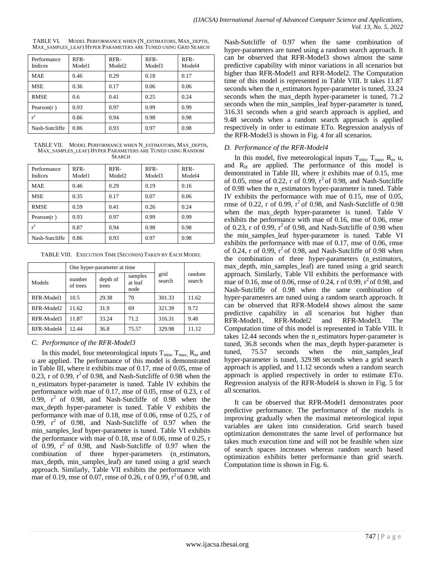| Performance<br><b>Indices</b> | RFR-<br>Model1 | RFR-<br>Model <sub>2</sub> | RFR-<br>Model3 | RFR-<br>Model4 |
|-------------------------------|----------------|----------------------------|----------------|----------------|
| <b>MAE</b>                    | 0.46           | 0.29                       | 0.18           | 0.17           |
| <b>MSE</b>                    | 0.36           | 0.17                       | 0.06           | 0.06           |
| <b>RMSE</b>                   | 0.6            | 0.41                       | 0.25           | 0.24           |
| Pearson $(r)$                 | 0.93           | 0.97                       | 0.99           | 0.99           |
| $r^2$                         | 0.86           | 0.94                       | 0.98           | 0.98           |
| Nash-Sutcliffe                | 0.86           | 0.93                       | 0.97           | 0.98           |

TABLE VI. MODEL PERFORMANCE WHEN (N\_ESTIMATORS, MAX\_DEPTH, MAX\_SAMPLES\_LEAF) HYPER PARAMETERS ARE TUNED USING GRID SEARCH

TABLE VII. MODEL PERFORMANCE WHEN N\_ESTIMATORS, MAX\_DEPTH, MAX\_SAMPLES\_LEAF) HYPER PARAMETERS ARE TUNED USING RANDOM **SEARCH** 

| Performance<br><b>Indices</b> | RFR-<br>Model1 | RFR-<br>Model <sub>2</sub> | RFR-<br>Model3 | RFR-<br>Model4 |
|-------------------------------|----------------|----------------------------|----------------|----------------|
| <b>MAE</b>                    | 0.46           | 0.29                       | 0.19           | 0.16           |
| <b>MSE</b>                    | 0.35           | 0.17                       | 0.07           | 0.06           |
| <b>RMSE</b>                   | 0.59           | 0.41                       | 0.26           | 0.24           |
| Pearson $(r)$                 | 0.93           | 0.97                       | 0.99           | 0.99           |
| $r^2$                         | 0.87           | 0.94                       | 0.98           | 0.98           |
| Nash-Sutcliffe                | 0.86           | 0.93                       | 0.97           | 0.98           |

TABLE VIII. EXECUTION TIME (SECONDS) TAKEN BY EACH MODEL

|            |                    | One hyper-parameter at time |                            |                |                  |
|------------|--------------------|-----------------------------|----------------------------|----------------|------------------|
| Models     | number<br>of trees | depth of<br>trees           | samples<br>at leaf<br>node | grid<br>search | random<br>search |
| RFR-Model1 | 10.5               | 29.38                       | 70                         | 301.33         | 11.62            |
| RFR-Model2 | 11.62              | 31.9                        | 69                         | 321.39         | 9.72             |
| RFR-Model3 | 11.87              | 33.24                       | 71.2                       | 316.31         | 9.48             |
| RFR-Model4 | 12.44              | 36.8                        | 75.57                      | 329.98         | 11.12            |

## *C. Performance of the RFR-Model3*

In this model, four meteorological inputs  $T_{min}$ ,  $T_{max}$ ,  $R_n$ , and u are applied. The performance of this model is demonstrated in Table III, where it exhibits mae of 0.17, mse of 0.05, rmse of 0.23, r of 0.99,  $r^2$  of 0.98, and Nash-Sutcliffe of 0.98 when the n\_estimators hyper-parameter is tuned. Table IV exhibits the performance with mae of  $0.17$ , mse of  $0.05$ , rmse of  $0.23$ , r of 0.99,  $r^2$  of 0.98, and Nash-Sutcliffe of 0.98 when the max\_depth hyper-parameter is tuned. Table V exhibits the performance with mae of 0.18, mse of 0.06, rmse of 0.25, r of 0.99,  $r^2$  of 0.98, and Nash-Sutcliffe of 0.97 when the min\_samples\_leaf hyper-parameter is tuned. Table VI exhibits the performance with mae of 0.18, mse of 0.06, rmse of 0.25, r of 0.99,  $r^2$  of 0.98, and Nash-Sutcliffe of 0.97 when the combination of three hyper-parameters (n\_estimators, max\_depth, min\_samples\_leaf) are tuned using a grid search approach. Similarly, Table VII exhibits the performance with mae of 0.19, mse of 0.07, rmse of 0.26, r of 0.99,  $r^2$  of 0.98, and Nash-Sutcliffe of 0.97 when the same combination of hyper-parameters are tuned using a random search approach. It can be observed that RFR-Model3 shows almost the same predictive capability with minor variations in all scenarios but higher than RFR-Model1 and RFR-Model2. The Computation time of this model is represented in Table VIII. It takes 11.87 seconds when the n\_estimators hyper-parameter is tuned, 33.24 seconds when the max\_depth hyper-parameter is tuned, 71.2 seconds when the min\_samples\_leaf hyper-parameter is tuned, 316.31 seconds when a grid search approach is applied, and 9.48 seconds when a random search approach is applied respectively in order to estimate ETo. Regression analysis of the RFR-Model3 is shown in Fig. 4 for all scenarios.

## *D. Performance of the RFR-Model4*

In this model, five meteorological inputs  $T_{min}$ ,  $T_{max}$ ,  $R_n$ ,  $u$ , and  $R_H$  are applied. The performance of this model is demonstrated in Table III, where it exhibits mae of 0.15, mse of 0.05, rmse of 0.22, r of 0.99,  $r^2$  of 0.98, and Nash-Sutcliffe of 0.98 when the n\_estimators hyper-parameter is tuned. Table IV exhibits the performance with mae of 0.15, mse of 0.05, rmse of 0.22, r of 0.99,  $r^2$  of 0.98, and Nash-Sutcliffe of 0.98 when the max depth hyper-parameter is tuned. Table V exhibits the performance with mae of 0.16, mse of 0.06, rmse of 0.23, r of 0.99,  $r^2$  of 0.98, and Nash-Sutcliffe of 0.98 when the min\_samples\_leaf hyper-parameter is tuned. Table VI exhibits the performance with mae of 0.17, mse of 0.06, rmse of 0.24, r of 0.99,  $r^2$  of 0.98, and Nash-Sutcliffe of 0.98 when the combination of three hyper-parameters (n\_estimators, max depth, min samples leaf) are tuned using a grid search approach. Similarly, Table VII exhibits the performance with mae of 0.16, mse of 0.06, rmse of 0.24, r of 0.99,  $r^2$  of 0.98, and Nash-Sutcliffe of 0.98 when the same combination of hyper-parameters are tuned using a random search approach. It can be observed that RFR-Model4 shows almost the same predictive capability in all scenarios but higher than RFR-Model1, RFR-Model2 and RFR-Model3. The Computation time of this model is represented in Table VIII. It takes 12.44 seconds when the n\_estimators hyper-parameter is tuned, 36.8 seconds when the max\_depth hyper-parameter is tuned, 75.57 seconds when the min\_samples\_leaf hyper-parameter is tuned, 329.98 seconds when a grid search approach is applied, and 11.12 seconds when a random search approach is applied respectively in order to estimate ETo. Regression analysis of the RFR-Model4 is shown in Fig. 5 for all scenarios.

It can be observed that RFR-Model1 demonstrates poor predictive performance. The performance of the models is improving gradually when the maximal meteorological input variables are taken into consideration. Grid search based optimization demonstrates the same level of performance but takes much execution time and will not be feasible when size of search spaces increases whereas random search based optimization exhibits better performance than grid search. Computation time is shown in Fig. 6.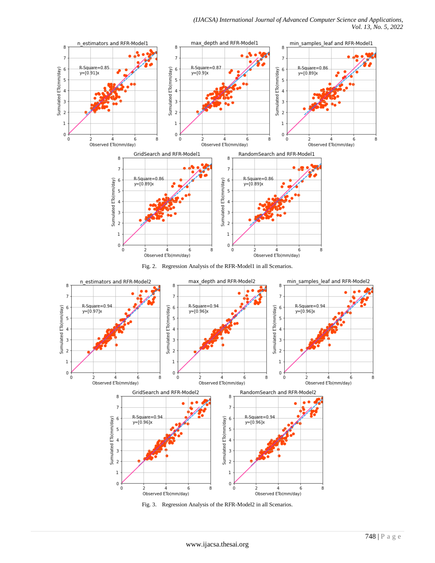

Fig. 2. Regression Analysis of the RFR-Model1 in all Scenarios.



Fig. 3. Regression Analysis of the RFR-Model2 in all Scenarios.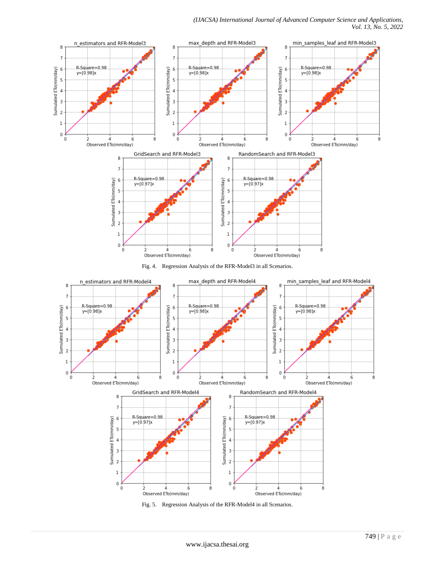*(IJACSA) International Journal of Advanced Computer Science and Applications, Vol. 13, No. 5, 2022*



Fig. 4. Regression Analysis of the RFR-Model3 in all Scenarios.



Fig. 5. Regression Analysis of the RFR-Model4 in all Scenarios.